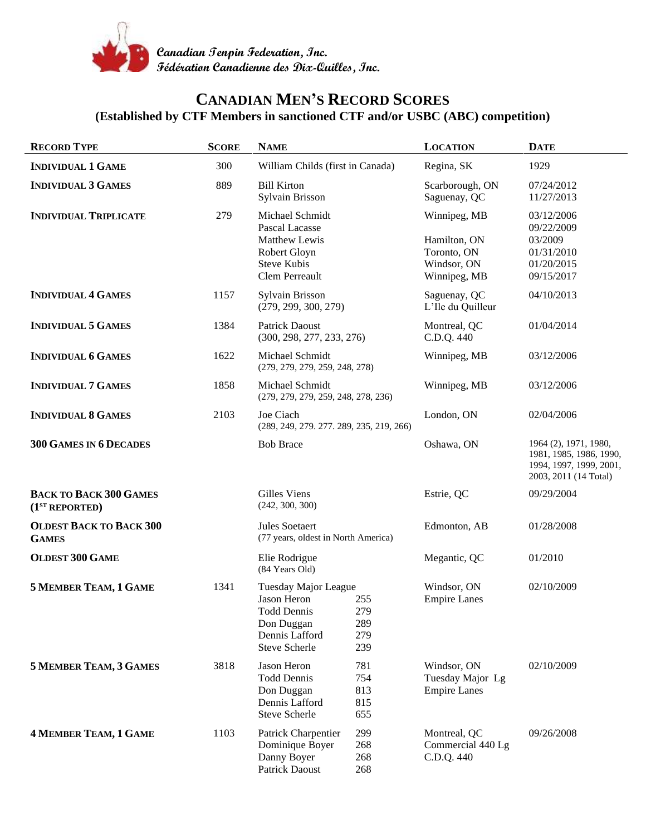

## **CANADIAN MEN'S RECORD SCORES (Established by CTF Members in sanctioned CTF and/or USBC (ABC) competition)**

| <b>RECORD TYPE</b>                                          | <b>SCORE</b> | <b>NAME</b>                                                                                                                                   | <b>LOCATION</b>                                                            | <b>DATE</b>                                                                                          |
|-------------------------------------------------------------|--------------|-----------------------------------------------------------------------------------------------------------------------------------------------|----------------------------------------------------------------------------|------------------------------------------------------------------------------------------------------|
| <b>INDIVIDUAL 1 GAME</b>                                    | 300          | William Childs (first in Canada)                                                                                                              | Regina, SK                                                                 | 1929                                                                                                 |
| <b>INDIVIDUAL 3 GAMES</b>                                   | 889          | <b>Bill Kirton</b><br>Sylvain Brisson                                                                                                         | Scarborough, ON<br>Saguenay, QC                                            | 07/24/2012<br>11/27/2013                                                                             |
| <b>INDIVIDUAL TRIPLICATE</b>                                | 279          | Michael Schmidt<br>Pascal Lacasse<br>Matthew Lewis<br>Robert Gloyn<br><b>Steve Kubis</b><br><b>Clem Perreault</b>                             | Winnipeg, MB<br>Hamilton, ON<br>Toronto, ON<br>Windsor, ON<br>Winnipeg, MB | 03/12/2006<br>09/22/2009<br>03/2009<br>01/31/2010<br>01/20/2015<br>09/15/2017                        |
| <b>INDIVIDUAL 4 GAMES</b>                                   | 1157         | Sylvain Brisson<br>(279, 299, 300, 279)                                                                                                       | Saguenay, QC<br>L'Ile du Quilleur                                          | 04/10/2013                                                                                           |
| <b>INDIVIDUAL 5 GAMES</b>                                   | 1384         | <b>Patrick Daoust</b><br>(300, 298, 277, 233, 276)                                                                                            | Montreal, QC<br>C.D.Q. 440                                                 | 01/04/2014                                                                                           |
| <b>INDIVIDUAL 6 GAMES</b>                                   | 1622         | Michael Schmidt<br>(279, 279, 279, 259, 248, 278)                                                                                             | Winnipeg, MB                                                               | 03/12/2006                                                                                           |
| <b>INDIVIDUAL 7 GAMES</b>                                   | 1858         | Michael Schmidt<br>(279, 279, 279, 259, 248, 278, 236)                                                                                        | Winnipeg, MB                                                               | 03/12/2006                                                                                           |
| <b>INDIVIDUAL 8 GAMES</b>                                   | 2103         | Joe Ciach<br>(289, 249, 279, 277, 289, 235, 219, 266)                                                                                         | London, ON                                                                 | 02/04/2006                                                                                           |
| <b>300 GAMES IN 6 DECADES</b>                               |              | <b>Bob Brace</b>                                                                                                                              | Oshawa, ON                                                                 | 1964 (2), 1971, 1980,<br>1981, 1985, 1986, 1990,<br>1994, 1997, 1999, 2001,<br>2003, 2011 (14 Total) |
| <b>BACK TO BACK 300 GAMES</b><br>(1 <sup>ST</sup> REPORTED) |              | <b>Gilles Viens</b><br>(242, 300, 300)                                                                                                        | Estrie, QC                                                                 | 09/29/2004                                                                                           |
| <b>OLDEST BACK TO BACK 300</b><br><b>GAMES</b>              |              | Jules Soetaert<br>(77 years, oldest in North America)                                                                                         | Edmonton, AB                                                               | 01/28/2008                                                                                           |
| <b>OLDEST 300 GAME</b>                                      |              | Elie Rodrigue<br>(84 Years Old)                                                                                                               | Megantic, QC                                                               | 01/2010                                                                                              |
| <b>5 MEMBER TEAM, 1 GAME</b>                                | 1341         | Tuesday Major League<br>Jason Heron<br>255<br><b>Todd Dennis</b><br>279<br>289<br>Don Duggan<br>Dennis Lafford<br>279<br>239<br>Steve Scherle | Windsor, ON<br><b>Empire Lanes</b>                                         | 02/10/2009                                                                                           |
| <b>5 MEMBER TEAM, 3 GAMES</b>                               | 3818         | Jason Heron<br>781<br><b>Todd Dennis</b><br>754<br>813<br>Don Duggan<br>Dennis Lafford<br>815<br>Steve Scherle<br>655                         | Windsor, ON<br>Tuesday Major Lg<br><b>Empire Lanes</b>                     | 02/10/2009                                                                                           |
| <b>4 MEMBER TEAM, 1 GAME</b>                                | 1103         | 299<br>Patrick Charpentier<br>268<br>Dominique Boyer<br>Danny Boyer<br>268<br>Patrick Daoust<br>268                                           | Montreal, QC<br>Commercial 440 Lg<br>C.D.Q. 440                            | 09/26/2008                                                                                           |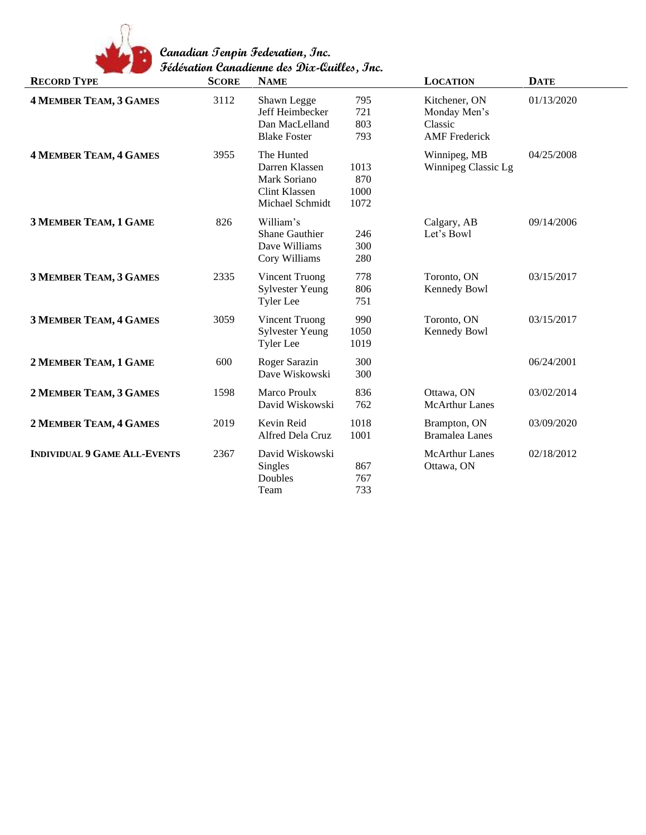

| <b>RECORD TYPE</b>                  | <b>SCORE</b> | cacaanon canaanonic uce <i>Dix</i> -xanuce, onc.<br><b>NAME</b>                  |                             | <b>LOCATION</b>                                                  | <b>DATE</b> |
|-------------------------------------|--------------|----------------------------------------------------------------------------------|-----------------------------|------------------------------------------------------------------|-------------|
| <b>4 MEMBER TEAM, 3 GAMES</b>       | 3112         | Shawn Legge<br>Jeff Heimbecker<br>Dan MacLelland<br><b>Blake Foster</b>          | 795<br>721<br>803<br>793    | Kitchener, ON<br>Monday Men's<br>Classic<br><b>AMF</b> Frederick | 01/13/2020  |
| <b>4 MEMBER TEAM, 4 GAMES</b>       | 3955         | The Hunted<br>Darren Klassen<br>Mark Soriano<br>Clint Klassen<br>Michael Schmidt | 1013<br>870<br>1000<br>1072 | Winnipeg, MB<br>Winnipeg Classic Lg                              | 04/25/2008  |
| 3 MEMBER TEAM, 1 GAME               | 826          | William's<br>Shane Gauthier<br>Dave Williams<br>Cory Williams                    | 246<br>300<br>280           | Calgary, AB<br>Let's Bowl                                        | 09/14/2006  |
| <b>3 MEMBER TEAM, 3 GAMES</b>       | 2335         | <b>Vincent Truong</b><br><b>Sylvester Yeung</b><br><b>Tyler</b> Lee              | 778<br>806<br>751           | Toronto, ON<br>Kennedy Bowl                                      | 03/15/2017  |
| <b>3 MEMBER TEAM, 4 GAMES</b>       | 3059         | <b>Vincent Truong</b><br><b>Sylvester Yeung</b><br><b>Tyler</b> Lee              | 990<br>1050<br>1019         | Toronto, ON<br>Kennedy Bowl                                      | 03/15/2017  |
| 2 MEMBER TEAM, 1 GAME               | 600          | Roger Sarazin<br>Dave Wiskowski                                                  | 300<br>300                  |                                                                  | 06/24/2001  |
| 2 MEMBER TEAM, 3 GAMES              | 1598         | Marco Proulx<br>David Wiskowski                                                  | 836<br>762                  | Ottawa, ON<br><b>McArthur Lanes</b>                              | 03/02/2014  |
| 2 MEMBER TEAM, 4 GAMES              | 2019         | Kevin Reid<br>Alfred Dela Cruz                                                   | 1018<br>1001                | Brampton, ON<br><b>Bramalea Lanes</b>                            | 03/09/2020  |
| <b>INDIVIDUAL 9 GAME ALL-EVENTS</b> | 2367         | David Wiskowski<br>Singles<br>Doubles<br>Team                                    | 867<br>767<br>733           | <b>McArthur Lanes</b><br>Ottawa, ON                              | 02/18/2012  |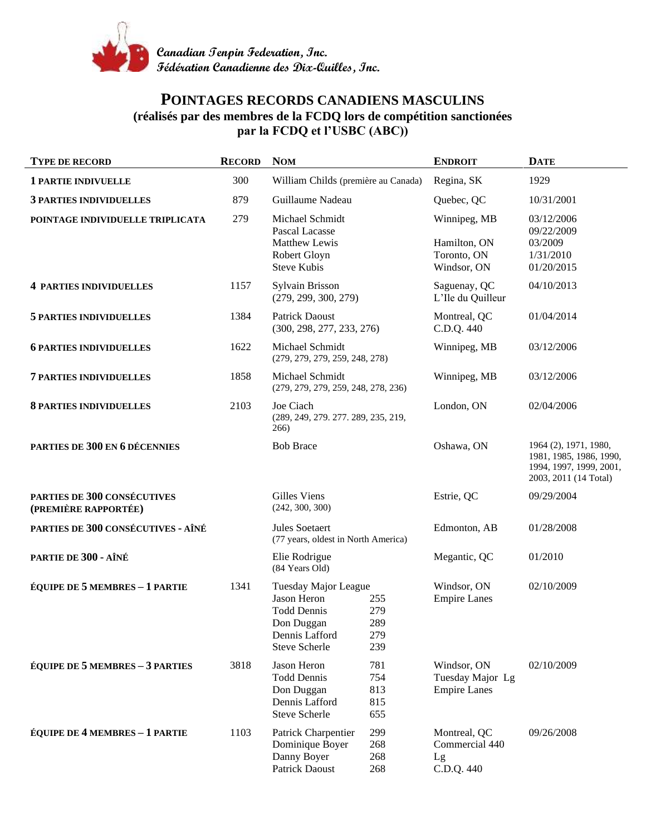

## **POINTAGES RECORDS CANADIENS MASCULINS (réalisés par des membres de la FCDQ lors de compétition sanctionées par la FCDQ et l'USBC (ABC))**

| <b>TYPE DE RECORD</b>                                      | <b>RECORD</b> | <b>NOM</b>                                                                                                        |                                 | <b>ENDROIT</b>                                             | <b>DATE</b>                                                                                          |
|------------------------------------------------------------|---------------|-------------------------------------------------------------------------------------------------------------------|---------------------------------|------------------------------------------------------------|------------------------------------------------------------------------------------------------------|
| <b>1 PARTIE INDIVUELLE</b>                                 | 300           | William Childs (première au Canada)                                                                               |                                 | Regina, SK                                                 | 1929                                                                                                 |
| <b>3 PARTIES INDIVIDUELLES</b>                             | 879           | Guillaume Nadeau                                                                                                  |                                 | Quebec, QC                                                 | 10/31/2001                                                                                           |
| POINTAGE INDIVIDUELLE TRIPLICATA                           | 279           | Michael Schmidt<br>Pascal Lacasse<br>Matthew Lewis<br>Robert Gloyn<br><b>Steve Kubis</b>                          |                                 | Winnipeg, MB<br>Hamilton, ON<br>Toronto, ON<br>Windsor, ON | 03/12/2006<br>09/22/2009<br>03/2009<br>1/31/2010<br>01/20/2015                                       |
| <b>4 PARTIES INDIVIDUELLES</b>                             | 1157          | Sylvain Brisson<br>(279, 299, 300, 279)                                                                           |                                 | Saguenay, QC<br>L'Ile du Quilleur                          | 04/10/2013                                                                                           |
| <b>5 PARTIES INDIVIDUELLES</b>                             | 1384          | <b>Patrick Daoust</b><br>(300, 298, 277, 233, 276)                                                                |                                 | Montreal, QC<br>C.D.Q. 440                                 | 01/04/2014                                                                                           |
| <b>6 PARTIES INDIVIDUELLES</b>                             | 1622          | Michael Schmidt<br>(279, 279, 279, 259, 248, 278)                                                                 |                                 | Winnipeg, MB                                               | 03/12/2006                                                                                           |
| <b>7 PARTIES INDIVIDUELLES</b>                             | 1858          | Michael Schmidt<br>(279, 279, 279, 259, 248, 278, 236)                                                            |                                 | Winnipeg, MB                                               | 03/12/2006                                                                                           |
| <b>8 PARTIES INDIVIDUELLES</b>                             | 2103          | Joe Ciach<br>(289, 249, 279. 277. 289, 235, 219,<br>266)                                                          |                                 | London, ON                                                 | 02/04/2006                                                                                           |
| PARTIES DE 300 EN 6 DÉCENNIES                              |               | <b>Bob Brace</b>                                                                                                  |                                 | Oshawa, ON                                                 | 1964 (2), 1971, 1980,<br>1981, 1985, 1986, 1990,<br>1994, 1997, 1999, 2001,<br>2003, 2011 (14 Total) |
| <b>PARTIES DE 300 CONSÉCUTIVES</b><br>(PREMIÈRE RAPPORTÉE) |               | Gilles Viens<br>(242, 300, 300)                                                                                   |                                 | Estrie, QC                                                 | 09/29/2004                                                                                           |
| PARTIES DE 300 CONSÉCUTIVES - AÎNÉ                         |               | Jules Soetaert<br>(77 years, oldest in North America)                                                             |                                 | Edmonton, AB                                               | 01/28/2008                                                                                           |
| PARTIE DE 300 - AÎNÉ                                       |               | Elie Rodrigue<br>(84 Years Old)                                                                                   |                                 | Megantic, QC                                               | 01/2010                                                                                              |
| <b>ÉQUIPE DE 5 MEMBRES - 1 PARTIE</b>                      | 1341          | Tuesday Major League<br>Jason Heron<br><b>Todd Dennis</b><br>Don Duggan<br>Dennis Lafford<br><b>Steve Scherle</b> | 255<br>279<br>289<br>279<br>239 | Windsor, ON<br><b>Empire Lanes</b>                         | 02/10/2009                                                                                           |
| <b>ÉQUIPE DE 5 MEMBRES - 3 PARTIES</b>                     | 3818          | Jason Heron<br><b>Todd Dennis</b><br>Don Duggan<br>Dennis Lafford<br>Steve Scherle                                | 781<br>754<br>813<br>815<br>655 | Windsor, ON<br>Tuesday Major Lg<br><b>Empire Lanes</b>     | 02/10/2009                                                                                           |
| <b>ÉQUIPE DE 4 MEMBRES - 1 PARTIE</b>                      | 1103          | Patrick Charpentier<br>Dominique Boyer<br>Danny Boyer<br>Patrick Daoust                                           | 299<br>268<br>268<br>268        | Montreal, QC<br>Commercial 440<br>Lg<br>C.D.Q. 440         | 09/26/2008                                                                                           |